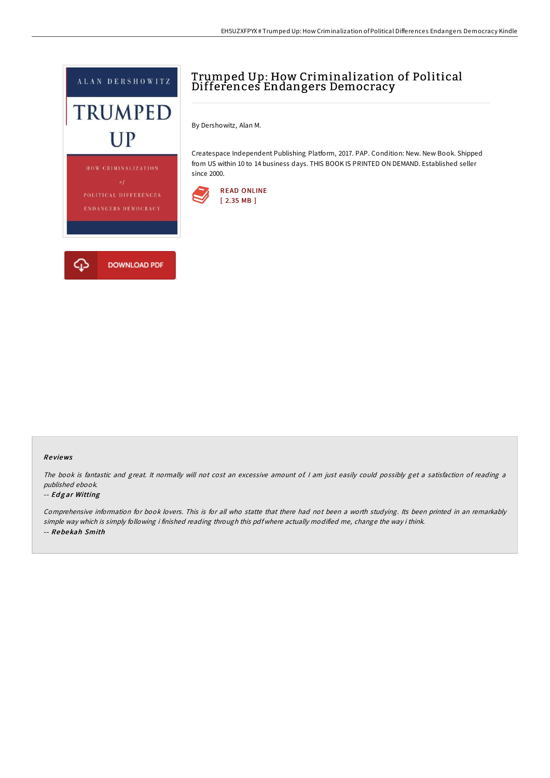

## Trumped Up: How Criminalization of Political Differences Endangers Democracy

By Dershowitz, Alan M.

Createspace Independent Publishing Platform, 2017. PAP. Condition: New. New Book. Shipped from US within 10 to 14 business days. THIS BOOK IS PRINTED ON DEMAND. Established seller since 2000.





## Re views

The book is fantastic and great. It normally will not cost an excessive amount of I am just easily could possibly get a satisfaction of reading a published ebook.

## -- Edgar Witting

Comprehensive information for book lovers. This is for all who statte that there had not been <sup>a</sup> worth studying. Its been printed in an remarkably simple way which is simply following i finished reading through this pdf where actually modified me, change the way i think. -- Rebe kah Smith